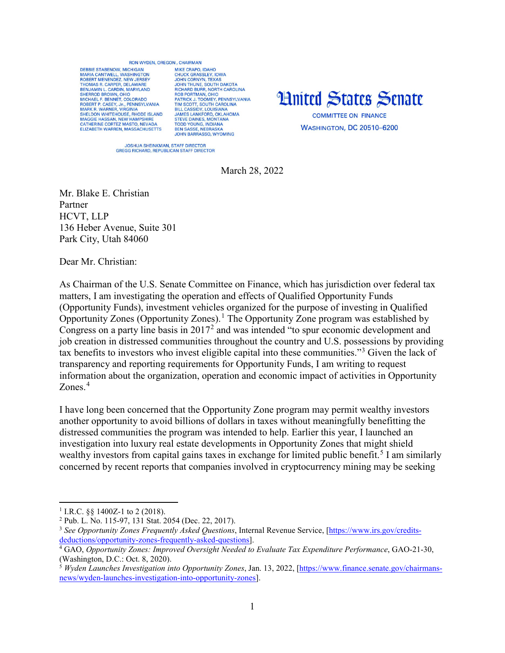## **RON WYDEN OREGON CHAIRMAN**

DEBBIE STARENOW MICHIGAN MARIA CANTWELL, WASHINGTON<br>ROBERT MENENDEZ, NEW JERSEY THOMAS R. CARPER, DELAWARE BENJAMIN L. CARDIN, MARYLAND<br>SHERROD BROWN, OHIO SHENDU BROWN, OHO<br>
MCHAEL F. BENNET, COLORADO<br>
ROBERT P. CASEY, JR., PENNSYLVANIA<br>
MARK R. WARNER, VIRGINIA<br>
SHELDON WHITEHOUSE, RHODE ISLAND MAGGIE HASSAN, NEW HAMPSHIRE<br>CATHERINE CORTEZ MASTO, NEVADA<br>ELIZABETH WARREN, MASSACHUSETTS

MIKE CRAPO IDAHO MIKE CRAPO, IDAHO<br>JOHN CORASSLEY, IOWA<br>JOHN CORNYN, TEXAS<br>JOHN THUNE, SOUTH DAKOTA<br>RICHARD BURR, NORTH CAROLINA<br>ROB PORTMAN, OHIO ROB PORTIMAN, OHIO<br>PATRICK J. TOOMEY, PENNSYLVANIA<br>TIM SCOTT, SOUTH CAROLINA<br>BILL CASSIDY, LOUISIANA<br>JAMES LANKFORD, OKLAHOMA STRIKE DAINES, MONTANA<br>TODD YOUNG, INDIANA<br>BEN SASSE, NEBRASKA **JOHN BARRASSO, WYOMING** 



**WASHINGTON, DC 20510-6200** 

JOSHUA SHEINKMAN, STAFF DIRECTOR<br>GREGG RICHARD, REPUBLICAN STAFF DIRECTOR

March 28, 2022

Mr. Blake E. Christian Partner HCVT, LLP 136 Heber Avenue, Suite 301 Park City, Utah 84060

Dear Mr. Christian:

As Chairman of the U.S. Senate Committee on Finance, which has jurisdiction over federal tax matters, I am investigating the operation and effects of Qualified Opportunity Funds (Opportunity Funds), investment vehicles organized for the purpose of investing in Qualified Opportunity Zones (Opportunity Zones).[1](#page-0-0) The Opportunity Zone program was established by Congress on a party line basis in  $2017<sup>2</sup>$  $2017<sup>2</sup>$  and was intended "to spur economic development and job creation in distressed communities throughout the country and U.S. possessions by providing tax benefits to investors who invest eligible capital into these communities."[3](#page-0-2) Given the lack of transparency and reporting requirements for Opportunity Funds, I am writing to request information about the organization, operation and economic impact of activities in Opportunity Zones.<sup>[4](#page-0-3)</sup>

I have long been concerned that the Opportunity Zone program may permit wealthy investors another opportunity to avoid billions of dollars in taxes without meaningfully benefitting the distressed communities the program was intended to help. Earlier this year, I launched an investigation into luxury real estate developments in Opportunity Zones that might shield wealthy investors from capital gains taxes in exchange for limited public benefit.<sup>[5](#page-0-4)</sup> I am similarly concerned by recent reports that companies involved in cryptocurrency mining may be seeking

 $\overline{a}$ 

<span id="page-0-0"></span><sup>&</sup>lt;sup>1</sup> I.R.C. §§ 1400Z-1 to 2 (2018).

<span id="page-0-1"></span><sup>2</sup> Pub. L. No. 115-97, 131 Stat. 2054 (Dec. 22, 2017).

<span id="page-0-2"></span><sup>3</sup> *See Opportunity Zones Frequently Asked Questions*, Internal Revenue Service, [\[https://www.irs.gov/credits](https://www.irs.gov/credits-deductions/opportunity-zones-frequently-asked-questions)[deductions/opportunity-zones-frequently-asked-questions\]](https://www.irs.gov/credits-deductions/opportunity-zones-frequently-asked-questions).

<span id="page-0-3"></span><sup>4</sup> GAO, *Opportunity Zones: Improved Oversight Needed to Evaluate Tax Expenditure Performance*, GAO-21-30, (Washington, D.C.: Oct. 8, 2020).<br><sup>5</sup> *Wyden Launches Investigation into Opportunity Zones*, Jan. 13, 2022, [\[https://www.finance.senate.gov/chairmans-](https://www.finance.senate.gov/chairmans-news/wyden-launches-investigation-into-opportunity-zones)

<span id="page-0-4"></span>[news/wyden-launches-investigation-into-opportunity-zones\]](https://www.finance.senate.gov/chairmans-news/wyden-launches-investigation-into-opportunity-zones).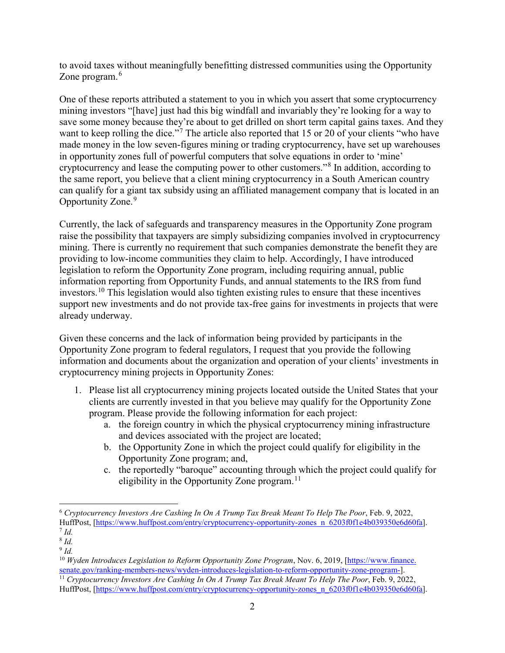to avoid taxes without meaningfully benefitting distressed communities using the Opportunity Zone program.<sup>[6](#page-1-0)</sup>

One of these reports attributed a statement to you in which you assert that some cryptocurrency mining investors "[have] just had this big windfall and invariably they're looking for a way to save some money because they're about to get drilled on short term capital gains taxes. And they want to keep rolling the dice."<sup>[7](#page-1-1)</sup> The article also reported that 15 or 20 of your clients "who have made money in the low seven-figures mining or trading cryptocurrency, have set up warehouses in opportunity zones full of powerful computers that solve equations in order to 'mine' cryptocurrency and lease the computing power to other customers."[8](#page-1-2) In addition, according to the same report, you believe that a client mining cryptocurrency in a South American country can qualify for a giant tax subsidy using an affiliated management company that is located in an Opportunity Zone.<sup>[9](#page-1-3)</sup>

Currently, the lack of safeguards and transparency measures in the Opportunity Zone program raise the possibility that taxpayers are simply subsidizing companies involved in cryptocurrency mining. There is currently no requirement that such companies demonstrate the benefit they are providing to low-income communities they claim to help. Accordingly, I have introduced legislation to reform the Opportunity Zone program, including requiring annual, public information reporting from Opportunity Funds, and annual statements to the IRS from fund investors.[10](#page-1-4) This legislation would also tighten existing rules to ensure that these incentives support new investments and do not provide tax-free gains for investments in projects that were already underway.

Given these concerns and the lack of information being provided by participants in the Opportunity Zone program to federal regulators, I request that you provide the following information and documents about the organization and operation of your clients' investments in cryptocurrency mining projects in Opportunity Zones:

- 1. Please list all cryptocurrency mining projects located outside the United States that your clients are currently invested in that you believe may qualify for the Opportunity Zone program. Please provide the following information for each project:
	- a. the foreign country in which the physical cryptocurrency mining infrastructure and devices associated with the project are located;
	- b. the Opportunity Zone in which the project could qualify for eligibility in the Opportunity Zone program; and,
	- c. the reportedly "baroque" accounting through which the project could qualify for eligibility in the Opportunity Zone program. $^{11}$  $^{11}$  $^{11}$

l

<span id="page-1-0"></span><sup>6</sup> *Cryptocurrency Investors Are Cashing In On A Trump Tax Break Meant To Help The Poor*, Feb. 9, 2022, HuffPost, [\[https://www.huffpost.com/entry/cryptocurrency-opportunity-zones\\_n\\_6203f0f1e4b039350e6d60fa\]](https://www.huffpost.com/entry/cryptocurrency-opportunity-zones_n_6203f0f1e4b039350e6d60fa).  $^7$  *Id.* 

<span id="page-1-1"></span><sup>8</sup> *Id.*

<span id="page-1-3"></span><span id="page-1-2"></span><sup>9</sup> *Id.*

<span id="page-1-4"></span><sup>10</sup> *Wyden Introduces Legislation to Reform Opportunity Zone Program*, Nov. 6, 2019, [https://www.finance. senate.gov/ranking-members-news/wyden-introduces-legislation-to-reform-opportunity-zone-program-]. 11 *Cryptocurrency Investors Are Cashing In On A Trump Tax Break Meant To Help The Poor*, Feb. 9, 2022,

<span id="page-1-5"></span>HuffPost, [\[https://www.huffpost.com/entry/cryptocurrency-opportunity-zones\\_n\\_6203f0f1e4b039350e6d60fa\]](https://www.huffpost.com/entry/cryptocurrency-opportunity-zones_n_6203f0f1e4b039350e6d60fa).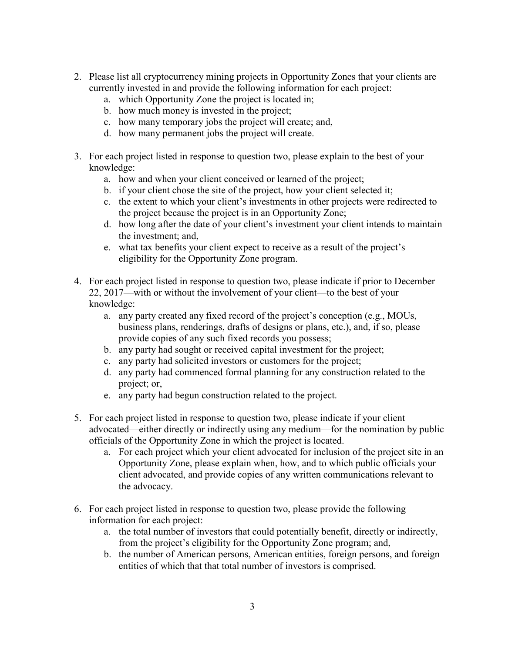- 2. Please list all cryptocurrency mining projects in Opportunity Zones that your clients are currently invested in and provide the following information for each project:
	- a. which Opportunity Zone the project is located in;
	- b. how much money is invested in the project;
	- c. how many temporary jobs the project will create; and,
	- d. how many permanent jobs the project will create.
- 3. For each project listed in response to question two, please explain to the best of your knowledge:
	- a. how and when your client conceived or learned of the project;
	- b. if your client chose the site of the project, how your client selected it;
	- c. the extent to which your client's investments in other projects were redirected to the project because the project is in an Opportunity Zone;
	- d. how long after the date of your client's investment your client intends to maintain the investment; and,
	- e. what tax benefits your client expect to receive as a result of the project's eligibility for the Opportunity Zone program.
- 4. For each project listed in response to question two, please indicate if prior to December 22, 2017—with or without the involvement of your client—to the best of your knowledge:
	- a. any party created any fixed record of the project's conception (e.g., MOUs, business plans, renderings, drafts of designs or plans, etc.), and, if so, please provide copies of any such fixed records you possess;
	- b. any party had sought or received capital investment for the project;
	- c. any party had solicited investors or customers for the project;
	- d. any party had commenced formal planning for any construction related to the project; or,
	- e. any party had begun construction related to the project.
- 5. For each project listed in response to question two, please indicate if your client advocated—either directly or indirectly using any medium—for the nomination by public officials of the Opportunity Zone in which the project is located.
	- a. For each project which your client advocated for inclusion of the project site in an Opportunity Zone, please explain when, how, and to which public officials your client advocated, and provide copies of any written communications relevant to the advocacy.
- 6. For each project listed in response to question two, please provide the following information for each project:
	- a. the total number of investors that could potentially benefit, directly or indirectly, from the project's eligibility for the Opportunity Zone program; and,
	- b. the number of American persons, American entities, foreign persons, and foreign entities of which that that total number of investors is comprised.